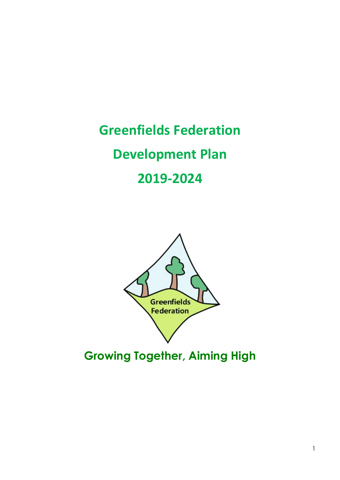**Greenfields Federation Development Plan 2019-2024**



**Growing Together, Aiming High**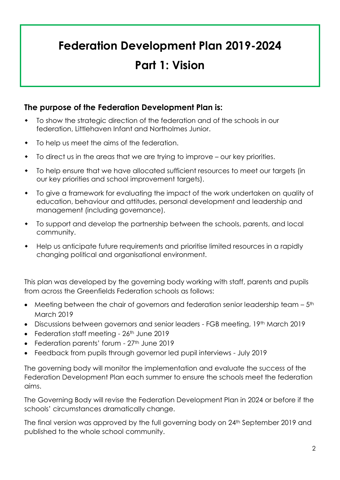# **Federation Development Plan 2019-2024**

# **Part 1: Vision**

### **The purpose of the Federation Development Plan is:**

- To show the strategic direction of the federation and of the schools in our federation, Littlehaven Infant and Northolmes Junior.
- $\bullet$  To help us meet the aims of the federation.
- To direct us in the areas that we are trying to improve our key priorities.
- To help ensure that we have allocated sufficient resources to meet our targets (in our key priorities and school improvement targets).
- To give a framework for evaluating the impact of the work undertaken on quality of education, behaviour and attitudes, personal development and leadership and management (including governance).
- To support and develop the partnership between the schools, parents, and local community.
- Help us anticipate future requirements and prioritise limited resources in a rapidly changing political and organisational environment.

This plan was developed by the governing body working with staff, parents and pupils from across the Greenfields Federation schools as follows:

- $\bullet$  Meeting between the chair of governors and federation senior leadership team  $5<sup>th</sup>$ March 2019
- Discussions between governors and senior leaders FGB meeting, 19th March 2019
- Federation staff meeting 26<sup>th</sup> June 2019
- Federation parents' forum 27<sup>th</sup> June 2019
- Feedback from pupils through governor led pupil interviews July 2019

The governing body will monitor the implementation and evaluate the success of the Federation Development Plan each summer to ensure the schools meet the federation aims.

The Governing Body will revise the Federation Development Plan in 2024 or before if the schools' circumstances dramatically change.

The final version was approved by the full governing body on 24th September 2019 and published to the whole school community.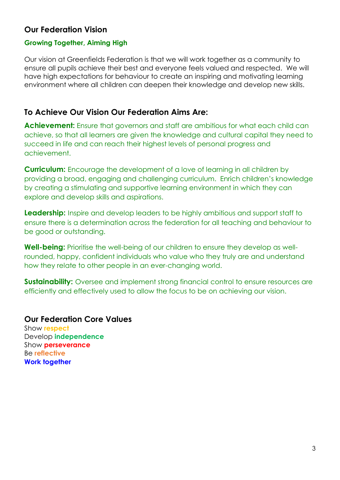### **Our Federation Vision**

#### **Growing Together, Aiming High**

Our vision at Greenfields Federation is that we will work together as a community to ensure all pupils achieve their best and everyone feels valued and respected. We will have high expectations for behaviour to create an inspiring and motivating learning environment where all children can deepen their knowledge and develop new skills.

### **To Achieve Our Vision Our Federation Aims Are:**

**Achievement:** Ensure that governors and staff are ambitious for what each child can achieve, so that all learners are given the knowledge and cultural capital they need to succeed in life and can reach their highest levels of personal progress and achievement.

**Curriculum:** Encourage the development of a love of learning in all children by providing a broad, engaging and challenging curriculum. Enrich children's knowledge by creating a stimulating and supportive learning environment in which they can explore and develop skills and aspirations.

**Leadership:** Inspire and develop leaders to be highly ambitious and support staff to ensure there is a determination across the federation for all teaching and behaviour to be good or outstanding.

**Well-being:** Prioritise the well-being of our children to ensure they develop as wellrounded, happy, confident individuals who value who they truly are and understand how they relate to other people in an ever-changing world.

**Sustainability:** Oversee and implement strong financial control to ensure resources are efficiently and effectively used to allow the focus to be on achieving our vision.

#### **Our Federation Core Values**

Show **respect** Develop **independence** Show **perseverance** Be **reflective Work together**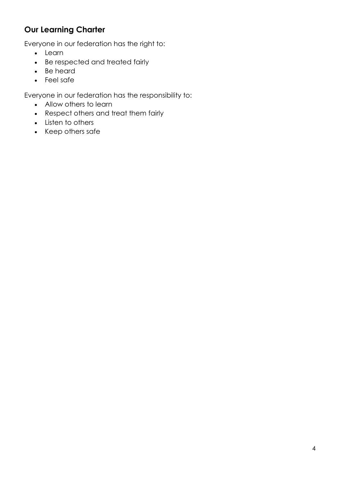## **Our Learning Charter**

Everyone in our federation has the right to:

- Learn
- Be respected and treated fairly
- Be heard
- Feel safe

Everyone in our federation has the responsibility to:

- Allow others to learn
- Respect others and treat them fairly
- Listen to others
- Keep others safe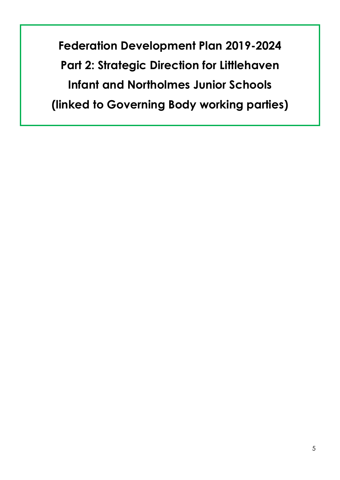**Federation Development Plan 2019-2024 Part 2: Strategic Direction for Littlehaven Infant and Northolmes Junior Schools (linked to Governing Body working parties)**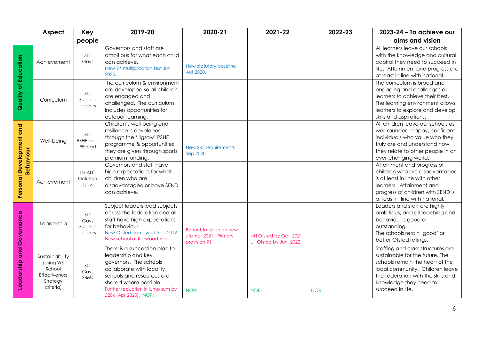|                                       | Aspect                                                                                 | Key                                      | 2019-20                                                                                                                                                                                                                         | 2020-21                                                         | 2021-22                                            | 2022-23 | 2023-24 - To achieve our                                                                                                                                                                                                       |
|---------------------------------------|----------------------------------------------------------------------------------------|------------------------------------------|---------------------------------------------------------------------------------------------------------------------------------------------------------------------------------------------------------------------------------|-----------------------------------------------------------------|----------------------------------------------------|---------|--------------------------------------------------------------------------------------------------------------------------------------------------------------------------------------------------------------------------------|
|                                       |                                                                                        | people                                   |                                                                                                                                                                                                                                 |                                                                 |                                                    |         | aims and vision                                                                                                                                                                                                                |
| Quality of Education                  | Achievement                                                                            | <b>SLT</b><br>Govs                       | Governors and staff are<br>ambitious for what each child<br>can achieve.<br>New Y4 multiplication test Jun<br>2020.                                                                                                             | New statutory baseline<br>Aut 2020.                             |                                                    |         | All learners leave our schools<br>with the knowledge and cultural<br>capital they need to succeed in<br>life. Attainment and progress are<br>at least in line with national.                                                   |
|                                       | Curriculum                                                                             | SLT<br>Subject<br>leaders                | The curriculum & environment<br>are developed so all children<br>are engaged and<br>challenged. The curriculum<br>includes opportunities for<br>outdoor learning.                                                               |                                                                 |                                                    |         | The curriculum is broad and<br>engaging and challenges all<br>learners to achieve their best.<br>The learning environment allows<br>learners to explore and develop<br>skills and aspirations.                                 |
| Personal Development and<br>Behaviour | Well-being                                                                             | SLT<br>PSHE lead<br>PE lead              | Children's well-being and<br>resilience is developed<br>through the 'Jigsaw' PSHE<br>programme & opportunities<br>they are given through sports<br>premium funding.                                                             | New SRE requirements<br>Sep 2020.                               |                                                    |         | All children leave our schools as<br>well-rounded, happy, confident<br>individuals who value who they<br>truly are and understand how<br>they relate to other people in an<br>ever-changing world.                             |
|                                       | Achievement                                                                            | LH AHT<br>Inclusion<br>gov               | Governors and staff have<br>high expectations for what<br>children who are<br>disadvantaged or have SEND<br>can achieve.                                                                                                        |                                                                 |                                                    |         | Attainment and progress of<br>children who are disadvantaged<br>is at least in line with other<br>learners. Attainment and<br>progress of children with SEND is<br>at least in line with national.                             |
| Governance<br>and<br>Leadership       | Leadership                                                                             | <b>SLT</b><br>Govs<br>Subject<br>leaders | Subject leaders lead subjects<br>across the federation and all<br>staff have high expectations<br>for behaviour.<br>New Ofsted framework Sep 2019.<br>New school at Kilnwood Vale.                                              | Bohunt to open on new<br>site Apr 2021. Primary<br>provision ?? | NH Ofsted by Oct, 2021.<br>LH Ofsted by Jun, 2022. |         | Leaders and staff are highly<br>ambitious, and all teaching and<br>behaviour is good or<br>outstanding.<br>The schools retain 'good' or<br>better Ofsted ratings.                                                              |
|                                       | Sustainability<br>(using WS<br>School<br><b>Effectiveness</b><br>Strategy<br>criteria) | SLT<br>Govs<br>SBMs                      | There is a succession plan for<br>leadership and key<br>governors. The schools<br>collaborate with locality<br>schools and resources are<br>shared where possible.<br>Further reduction in lump sum by<br>£20k (Apr 2020). NOR: | NOR:                                                            | NOR:                                               | NOR:    | Staffing and class structures are<br>sustainable for the future. The<br>schools remain the heart of the<br>local community. Children leave<br>the federation with the skills and<br>knowledge they need to<br>succeed in life. |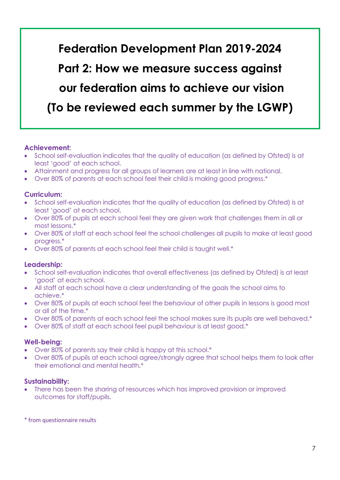**Federation Development Plan 2019-2024 Part 2: How we measure success against our federation aims to achieve our vision (To be reviewed each summer by the LGWP)**

#### **Achievement:**

- School self-evaluation indicates that the quality of education (as defined by Ofsted) is at least 'good' at each school.
- Attainment and progress for all groups of learners are at least in line with national.
- Over 80% of parents at each school feel their child is making good progress.\*

#### **Curriculum:**

- School self-evaluation indicates that the quality of education (as defined by Ofsted) is at least 'good' at each school.
- Over 80% of pupils at each school feel they are given work that challenges them in all or most lessons.\*
- Over 80% of staff at each school feel the school challenges all pupils to make at least good progress.\*
- Over 80% of parents at each school feel their child is taught well.\*

#### **Leadership:**

- School self-evaluation indicates that overall effectiveness (as defined by Ofsted) is at least 'good' at each school.
- All staff at each school have a clear understanding of the goals the school aims to achieve.\*
- Over 80% of pupils at each school feel the behaviour of other pupils in lessons is good most or all of the time.\*
- Over 80% of parents at each school feel the school makes sure its pupils are well behaved.\*
- Over 80% of staff at each school feel pupil behaviour is at least good.\*

#### **Well-being:**

- Over 80% of parents say their child is happy at this school.\*
- Over 80% of pupils at each school agree/strongly agree that school helps them to look after their emotional and mental health.\*

#### **Sustainability:**

 There has been the sharing of resources which has improved provision or improved outcomes for staff/pupils.

#### \* from questionnaire results